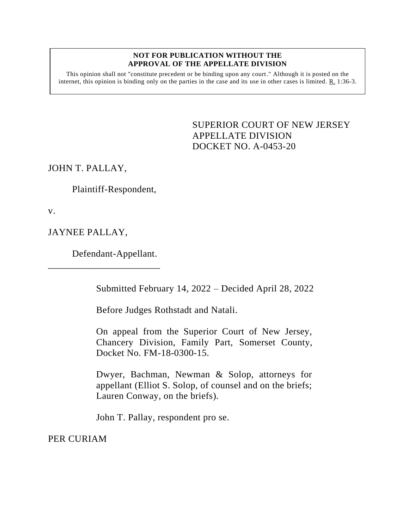## **NOT FOR PUBLICATION WITHOUT THE APPROVAL OF THE APPELLATE DIVISION**

This opinion shall not "constitute precedent or be binding upon any court." Although it is posted on the internet, this opinion is binding only on the parties in the case and its use in other cases is limited. R. 1:36-3.

> <span id="page-0-0"></span>SUPERIOR COURT OF NEW JERSEY APPELLATE DIVISION DOCKET NO. A-0453-20

JOHN T. PALLAY,

Plaintiff-Respondent,

v.

JAYNEE PALLAY,

Defendant-Appellant.

\_\_\_\_\_\_\_\_\_\_\_\_\_\_\_\_\_\_\_\_\_\_\_

Submitted February 14, 2022 – Decided April 28, 2022

Before Judges Rothstadt and Natali.

On appeal from the Superior Court of New Jersey, Chancery Division, Family Part, Somerset County, Docket No. FM-18-0300-15.

Dwyer, Bachman, Newman & Solop, attorneys for appellant (Elliot S. Solop, of counsel and on the briefs; Lauren Conway, on the briefs).

John T. Pallay, respondent pro se.

PER CURIAM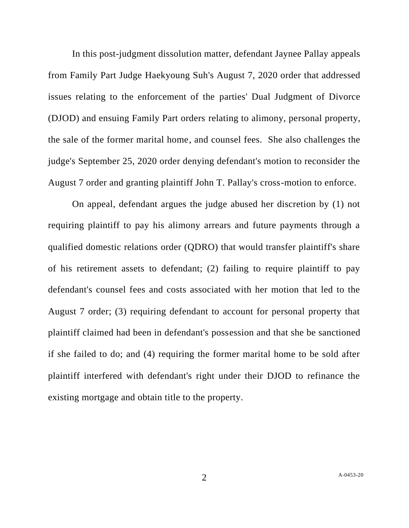In this post-judgment dissolution matter, defendant Jaynee Pallay appeals from Family Part Judge Haekyoung Suh's August 7, 2020 order that addressed issues relating to the enforcement of the parties' Dual Judgment of Divorce (DJOD) and ensuing Family Part orders relating to alimony, personal property, the sale of the former marital home, and counsel fees. She also challenges the judge's September 25, 2020 order denying defendant's motion to reconsider the August 7 order and granting plaintiff John T. Pallay's cross-motion to enforce.

On appeal, defendant argues the judge abused her discretion by (1) not requiring plaintiff to pay his alimony arrears and future payments through a qualified domestic relations order (QDRO) that would transfer plaintiff's share of his retirement assets to defendant; (2) failing to require plaintiff to pay defendant's counsel fees and costs associated with her motion that led to the August 7 order; (3) requiring defendant to account for personal property that plaintiff claimed had been in defendant's possession and that she be sanctioned if she failed to do; and (4) requiring the former marital home to be sold after plaintiff interfered with defendant's right under their DJOD to refinance the existing mortgage and obtain title to the property.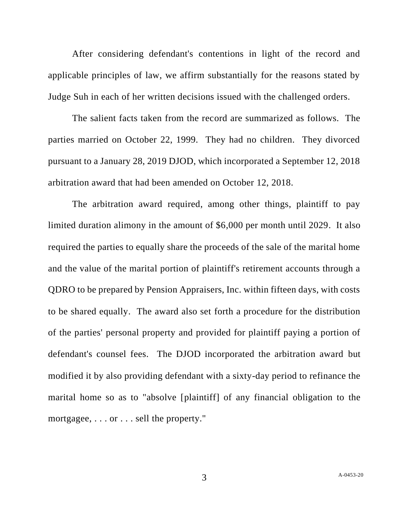After considering defendant's contentions in light of the record and applicable principles of law, we affirm substantially for the reasons stated by Judge Suh in each of her written decisions issued with the challenged orders.

The salient facts taken from the record are summarized as follows. The parties married on October 22, 1999. They had no children. They divorced pursuant to a January 28, 2019 DJOD, which incorporated a September 12, 2018 arbitration award that had been amended on October 12, 2018.

The arbitration award required, among other things, plaintiff to pay limited duration alimony in the amount of \$6,000 per month until 2029. It also required the parties to equally share the proceeds of the sale of the marital home and the value of the marital portion of plaintiff's retirement accounts through a QDRO to be prepared by Pension Appraisers, Inc. within fifteen days, with costs to be shared equally. The award also set forth a procedure for the distribution of the parties' personal property and provided for plaintiff paying a portion of defendant's counsel fees. The DJOD incorporated the arbitration award but modified it by also providing defendant with a sixty-day period to refinance the marital home so as to "absolve [plaintiff] of any financial obligation to the mortgagee, . . . or . . . sell the property."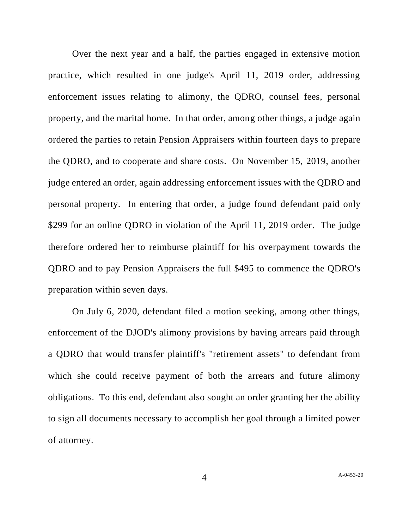Over the next year and a half, the parties engaged in extensive motion practice, which resulted in one judge's April 11, 2019 order, addressing enforcement issues relating to alimony, the QDRO, counsel fees, personal property, and the marital home. In that order, among other things, a judge again ordered the parties to retain Pension Appraisers within fourteen days to prepare the QDRO, and to cooperate and share costs. On November 15, 2019, another judge entered an order, again addressing enforcement issues with the QDRO and personal property. In entering that order, a judge found defendant paid only \$299 for an online QDRO in violation of the April 11, 2019 order. The judge therefore ordered her to reimburse plaintiff for his overpayment towards the QDRO and to pay Pension Appraisers the full \$495 to commence the QDRO's preparation within seven days.

On July 6, 2020, defendant filed a motion seeking, among other things, enforcement of the DJOD's alimony provisions by having arrears paid through a QDRO that would transfer plaintiff's "retirement assets" to defendant from which she could receive payment of both the arrears and future alimony obligations. To this end, defendant also sought an order granting her the ability to sign all documents necessary to accomplish her goal through a limited power of attorney.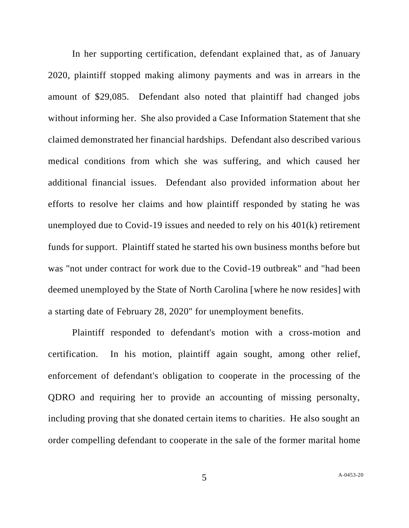In her supporting certification, defendant explained that, as of January 2020, plaintiff stopped making alimony payments and was in arrears in the amount of \$29,085. Defendant also noted that plaintiff had changed jobs without informing her. She also provided a Case Information Statement that she claimed demonstrated her financial hardships. Defendant also described various medical conditions from which she was suffering, and which caused her additional financial issues. Defendant also provided information about her efforts to resolve her claims and how plaintiff responded by stating he was unemployed due to Covid-19 issues and needed to rely on his 401(k) retirement funds for support. Plaintiff stated he started his own business months before but was "not under contract for work due to the Covid-19 outbreak" and "had been deemed unemployed by the State of North Carolina [where he now resides] with a starting date of February 28, 2020" for unemployment benefits.

Plaintiff responded to defendant's motion with a cross-motion and certification. In his motion, plaintiff again sought, among other relief, enforcement of defendant's obligation to cooperate in the processing of the QDRO and requiring her to provide an accounting of missing personalty, including proving that she donated certain items to charities. He also sought an order compelling defendant to cooperate in the sale of the former marital home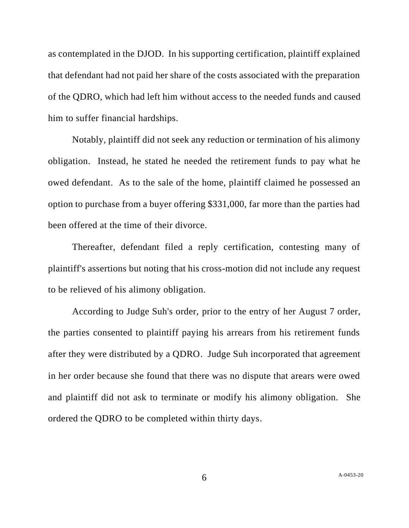as contemplated in the DJOD. In his supporting certification, plaintiff explained that defendant had not paid her share of the costs associated with the preparation of the QDRO, which had left him without access to the needed funds and caused him to suffer financial hardships.

Notably, plaintiff did not seek any reduction or termination of his alimony obligation. Instead, he stated he needed the retirement funds to pay what he owed defendant. As to the sale of the home, plaintiff claimed he possessed an option to purchase from a buyer offering \$331,000, far more than the parties had been offered at the time of their divorce.

Thereafter, defendant filed a reply certification, contesting many of plaintiff's assertions but noting that his cross-motion did not include any request to be relieved of his alimony obligation.

According to Judge Suh's order, prior to the entry of her August 7 order, the parties consented to plaintiff paying his arrears from his retirement funds after they were distributed by a QDRO. Judge Suh incorporated that agreement in her order because she found that there was no dispute that arears were owed and plaintiff did not ask to terminate or modify his alimony obligation. She ordered the QDRO to be completed within thirty days.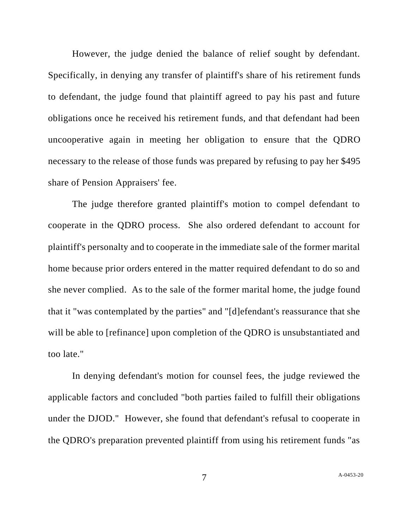However, the judge denied the balance of relief sought by defendant. Specifically, in denying any transfer of plaintiff's share of his retirement funds to defendant, the judge found that plaintiff agreed to pay his past and future obligations once he received his retirement funds, and that defendant had been uncooperative again in meeting her obligation to ensure that the QDRO necessary to the release of those funds was prepared by refusing to pay her \$495 share of Pension Appraisers' fee.

The judge therefore granted plaintiff's motion to compel defendant to cooperate in the QDRO process. She also ordered defendant to account for plaintiff's personalty and to cooperate in the immediate sale of the former marital home because prior orders entered in the matter required defendant to do so and she never complied. As to the sale of the former marital home, the judge found that it "was contemplated by the parties" and "[d]efendant's reassurance that she will be able to [refinance] upon completion of the QDRO is unsubstantiated and too late."

In denying defendant's motion for counsel fees, the judge reviewed the applicable factors and concluded "both parties failed to fulfill their obligations under the DJOD." However, she found that defendant's refusal to cooperate in the QDRO's preparation prevented plaintiff from using his retirement funds "as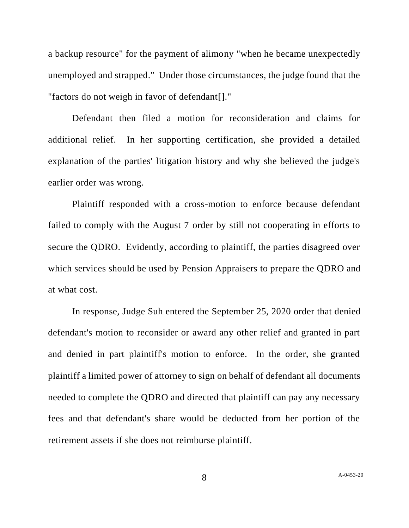a backup resource" for the payment of alimony "when he became unexpectedly unemployed and strapped." Under those circumstances, the judge found that the "factors do not weigh in favor of defendant[]."

Defendant then filed a motion for reconsideration and claims for additional relief. In her supporting certification, she provided a detailed explanation of the parties' litigation history and why she believed the judge's earlier order was wrong.

Plaintiff responded with a cross-motion to enforce because defendant failed to comply with the August 7 order by still not cooperating in efforts to secure the QDRO. Evidently, according to plaintiff, the parties disagreed over which services should be used by Pension Appraisers to prepare the QDRO and at what cost.

In response, Judge Suh entered the September 25, 2020 order that denied defendant's motion to reconsider or award any other relief and granted in part and denied in part plaintiff's motion to enforce. In the order, she granted plaintiff a limited power of attorney to sign on behalf of defendant all documents needed to complete the QDRO and directed that plaintiff can pay any necessary fees and that defendant's share would be deducted from her portion of the retirement assets if she does not reimburse plaintiff.

8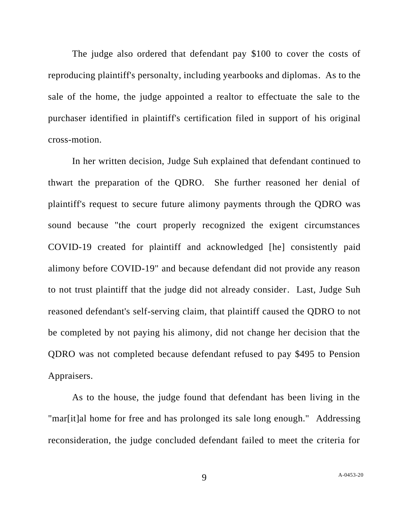The judge also ordered that defendant pay \$100 to cover the costs of reproducing plaintiff's personalty, including yearbooks and diplomas. As to the sale of the home, the judge appointed a realtor to effectuate the sale to the purchaser identified in plaintiff's certification filed in support of his original cross-motion.

In her written decision, Judge Suh explained that defendant continued to thwart the preparation of the QDRO. She further reasoned her denial of plaintiff's request to secure future alimony payments through the QDRO was sound because "the court properly recognized the exigent circumstances COVID-19 created for plaintiff and acknowledged [he] consistently paid alimony before COVID-19" and because defendant did not provide any reason to not trust plaintiff that the judge did not already consider. Last, Judge Suh reasoned defendant's self-serving claim, that plaintiff caused the QDRO to not be completed by not paying his alimony, did not change her decision that the QDRO was not completed because defendant refused to pay \$495 to Pension Appraisers.

As to the house, the judge found that defendant has been living in the "mar[it]al home for free and has prolonged its sale long enough." Addressing reconsideration, the judge concluded defendant failed to meet the criteria for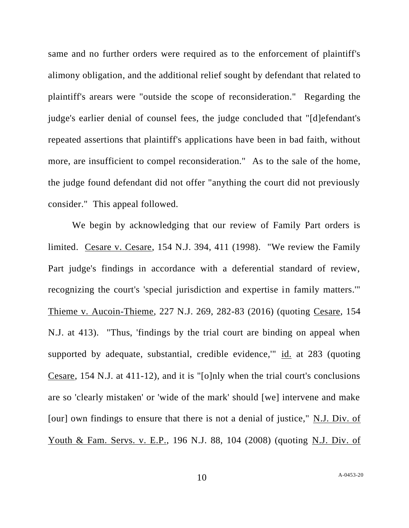same and no further orders were required as to the enforcement of plaintiff's alimony obligation, and the additional relief sought by defendant that related to plaintiff's arears were "outside the scope of reconsideration." Regarding the judge's earlier denial of counsel fees, the judge concluded that "[d]efendant's repeated assertions that plaintiff's applications have been in bad faith, without more, are insufficient to compel reconsideration." As to the sale of the home, the judge found defendant did not offer "anything the court did not previously consider." This appeal followed.

We begin by acknowledging that our review of Family Part orders is limited. Cesare v. Cesare, 154 N.J. 394, 411 (1998). "We review the Family Part judge's findings in accordance with a deferential standard of review, recognizing the court's 'special jurisdiction and expertise in family matters.'" Thieme v. Aucoin-Thieme, 227 N.J. 269, 282-83 (2016) (quoting Cesare, 154 N.J. at 413). "Thus, 'findings by the trial court are binding on appeal when supported by adequate, substantial, credible evidence,'" id. at 283 (quoting Cesare, 154 N.J. at 411-12), and it is "[o]nly when the trial court's conclusions are so 'clearly mistaken' or 'wide of the mark' should [we] intervene and make [our] own findings to ensure that there is not a denial of justice," N.J. Div. of Youth & Fam. Servs. v. E.P., 196 N.J. 88, 104 (2008) (quoting N.J. Div. of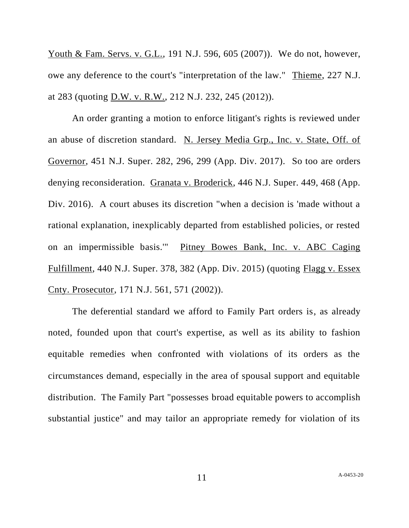Youth & Fam. Servs. v. G.L., 191 N.J. 596, 605 (2007)). We do not, however, owe any deference to the court's "interpretation of the law." Thieme, 227 N.J. at 283 (quoting D.W. v. R.W., 212 N.J. 232, 245 (2012)).

An order granting a motion to enforce litigant's rights is reviewed under an abuse of discretion standard. N. Jersey Media Grp., Inc. v. State, Off. of Governor, 451 N.J. Super. 282, 296, 299 (App. Div. 2017). So too are orders denying reconsideration. Granata v. Broderick, 446 N.J. Super. 449, 468 (App. Div. 2016). A court abuses its discretion "when a decision is 'made without a rational explanation, inexplicably departed from established policies, or rested on an impermissible basis.'" Pitney Bowes Bank, Inc. v. ABC Caging Fulfillment, 440 N.J. Super. 378, 382 (App. Div. 2015) (quoting Flagg v. Essex Cnty. Prosecutor, 171 N.J. 561, 571 (2002)).

The deferential standard we afford to Family Part orders is, as already noted, founded upon that court's expertise, as well as its ability to fashion equitable remedies when confronted with violations of its orders as the circumstances demand, especially in the area of spousal support and equitable distribution. The Family Part "possesses broad equitable powers to accomplish substantial justice" and may tailor an appropriate remedy for violation of its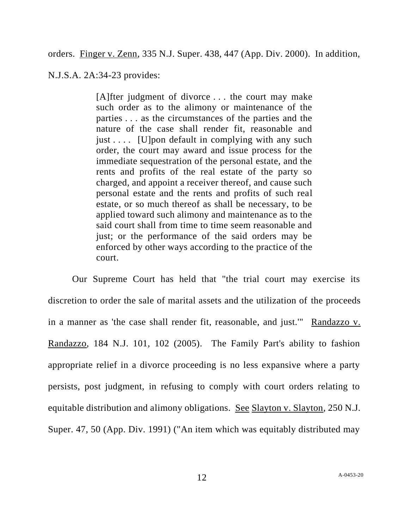orders. Finger v. Zenn, 335 N.J. Super. 438, 447 (App. Div. 2000). In addition,

N.J.S.A. 2A:34-23 provides:

[A]fter judgment of divorce ... the court may make such order as to the alimony or maintenance of the parties . . . as the circumstances of the parties and the nature of the case shall render fit, reasonable and just  $\dots$  [U] pon default in complying with any such order, the court may award and issue process for the immediate sequestration of the personal estate, and the rents and profits of the real estate of the party so charged, and appoint a receiver thereof, and cause such personal estate and the rents and profits of such real estate, or so much thereof as shall be necessary, to be applied toward such alimony and maintenance as to the said court shall from time to time seem reasonable and just; or the performance of the said orders may be enforced by other ways according to the practice of the court.

Our Supreme Court has held that "the trial court may exercise its discretion to order the sale of marital assets and the utilization of the proceeds in a manner as 'the case shall render fit, reasonable, and just.'" Randazzo v. Randazzo, 184 N.J. 101, 102 (2005). The Family Part's ability to fashion appropriate relief in a divorce proceeding is no less expansive where a party persists, post judgment, in refusing to comply with court orders relating to equitable distribution and alimony obligations. See Slayton v. Slayton, 250 N.J. Super. 47, 50 (App. Div. 1991) ("An item which was equitably distributed may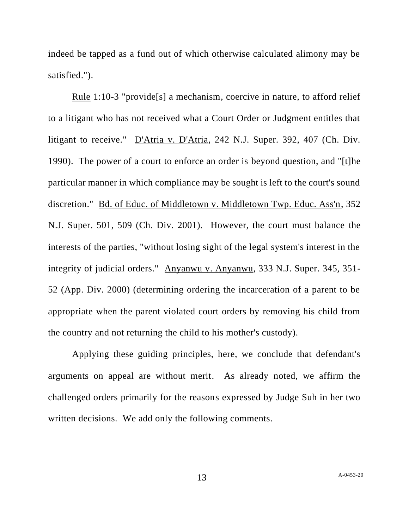indeed be tapped as a fund out of which otherwise calculated alimony may be satisfied.").

Rule 1:10-3 "provide[s] a mechanism, coercive in nature, to afford relief to a litigant who has not received what a Court Order or Judgment entitles that litigant to receive." D'Atria v. D'Atria, 242 N.J. Super. 392, 407 (Ch. Div. 1990). The power of a court to enforce an order is beyond question, and "[t]he particular manner in which compliance may be sought is left to the court's sound discretion." Bd. of Educ. of Middletown v. Middletown Twp. Educ. Ass'n, 352 N.J. Super. 501, 509 (Ch. Div. 2001). However, the court must balance the interests of the parties, "without losing sight of the legal system's interest in the integrity of judicial orders." Anyanwu v. Anyanwu, 333 N.J. Super. 345, 351- 52 (App. Div. 2000) (determining ordering the incarceration of a parent to be appropriate when the parent violated court orders by removing his child from the country and not returning the child to his mother's custody).

Applying these guiding principles, here, we conclude that defendant's arguments on appeal are without merit. As already noted, we affirm the challenged orders primarily for the reasons expressed by Judge Suh in her two written decisions. We add only the following comments.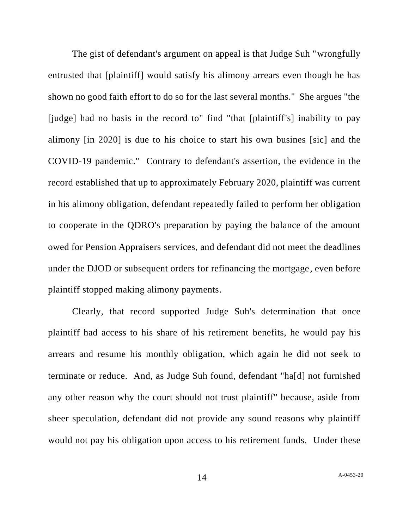The gist of defendant's argument on appeal is that Judge Suh "wrongfully entrusted that [plaintiff] would satisfy his alimony arrears even though he has shown no good faith effort to do so for the last several months." She argues "the [judge] had no basis in the record to" find "that [plaintiff's] inability to pay alimony [in 2020] is due to his choice to start his own busines [sic] and the COVID-19 pandemic." Contrary to defendant's assertion, the evidence in the record established that up to approximately February 2020, plaintiff was current in his alimony obligation, defendant repeatedly failed to perform her obligation to cooperate in the QDRO's preparation by paying the balance of the amount owed for Pension Appraisers services, and defendant did not meet the deadlines under the DJOD or subsequent orders for refinancing the mortgage, even before plaintiff stopped making alimony payments.

Clearly, that record supported Judge Suh's determination that once plaintiff had access to his share of his retirement benefits, he would pay his arrears and resume his monthly obligation, which again he did not seek to terminate or reduce. And, as Judge Suh found, defendant "ha[d] not furnished any other reason why the court should not trust plaintiff" because, aside from sheer speculation, defendant did not provide any sound reasons why plaintiff would not pay his obligation upon access to his retirement funds. Under these